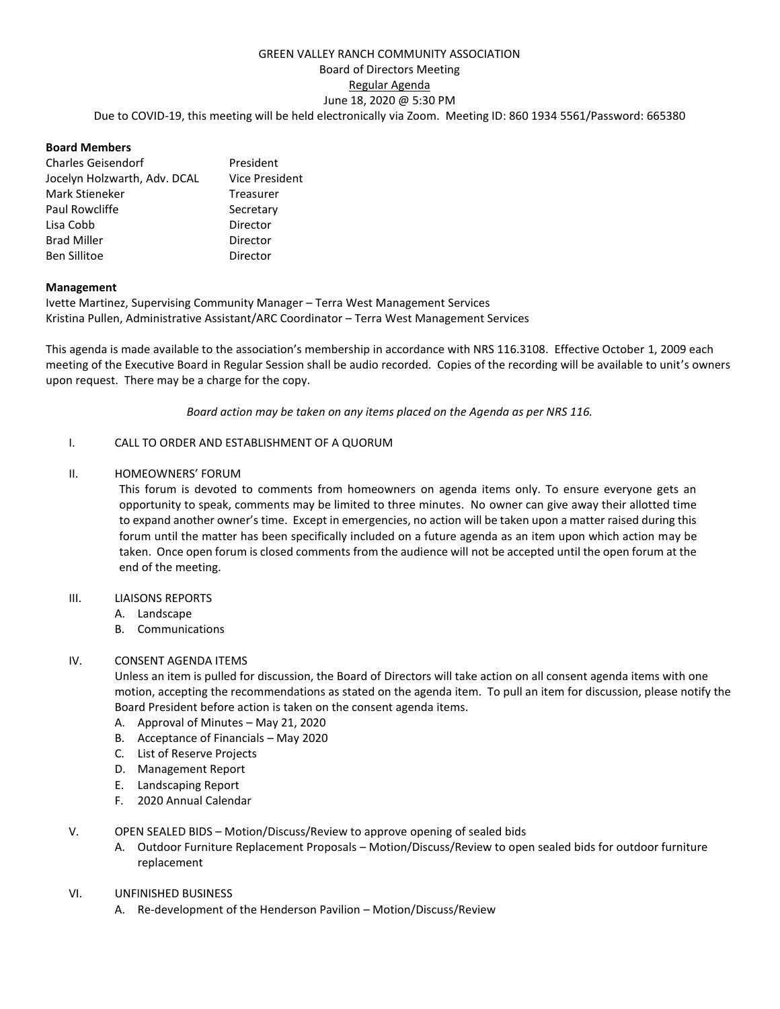# GREEN VALLEY RANCH COMMUNITY ASSOCIATION Board of Directors Meeting Regular Agenda June 18, 2020 @ 5:30 PM Due to COVID-19, this meeting will be held electronically via Zoom. Meeting ID: 860 1934 5561/Password: 665380

## **Board Members**

| <b>Charles Geisendorf</b>    | President             |
|------------------------------|-----------------------|
| Jocelyn Holzwarth, Adv. DCAL | <b>Vice President</b> |
| Mark Stieneker               | Treasurer             |
| Paul Rowcliffe               | Secretary             |
| Lisa Cobb                    | Director              |
| <b>Brad Miller</b>           | Director              |
| <b>Ben Sillitoe</b>          | Director              |

## **Management**

Ivette Martinez, Supervising Community Manager – Terra West Management Services Kristina Pullen, Administrative Assistant/ARC Coordinator – Terra West Management Services

This agenda is made available to the association's membership in accordance with NRS 116.3108. Effective October 1, 2009 each meeting of the Executive Board in Regular Session shall be audio recorded. Copies of the recording will be available to unit's owners upon request. There may be a charge for the copy.

*Board action may be taken on any items placed on the Agenda as per NRS 116.*

## I. CALL TO ORDER AND ESTABLISHMENT OF A QUORUM

## II. HOMEOWNERS' FORUM

This forum is devoted to comments from homeowners on agenda items only. To ensure everyone gets an opportunity to speak, comments may be limited to three minutes. No owner can give away their allotted time to expand another owner's time. Except in emergencies, no action will be taken upon a matter raised during this forum until the matter has been specifically included on a future agenda as an item upon which action may be taken. Once open forum is closed comments from the audience will not be accepted until the open forum at the end of the meeting.

#### III. LIAISONS REPORTS

- A. Landscape
- B. Communications

# IV. CONSENT AGENDA ITEMS

Unless an item is pulled for discussion, the Board of Directors will take action on all consent agenda items with one motion, accepting the recommendations as stated on the agenda item. To pull an item for discussion, please notify the Board President before action is taken on the consent agenda items.

- A. Approval of Minutes May 21, 2020
- B. Acceptance of Financials May 2020
- C. List of Reserve Projects
- D. Management Report
- E. Landscaping Report
- F. 2020 Annual Calendar
- V. OPEN SEALED BIDS Motion/Discuss/Review to approve opening of sealed bids
	- A. Outdoor Furniture Replacement Proposals Motion/Discuss/Review to open sealed bids for outdoor furniture replacement

#### VI. UNFINISHED BUSINESS

A. Re-development of the Henderson Pavilion – Motion/Discuss/Review